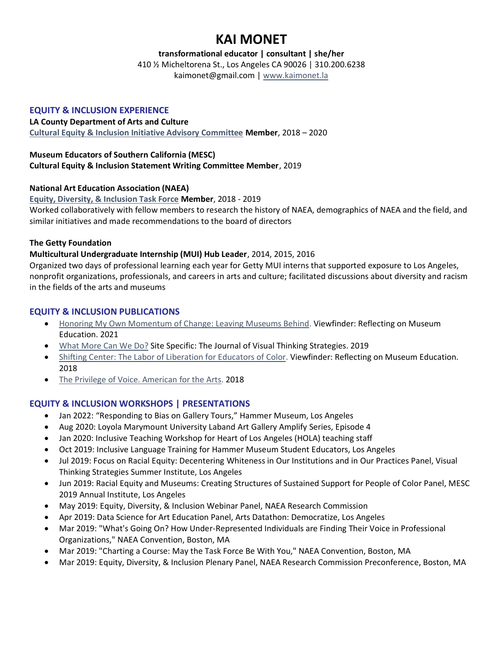# **KAI MONET**

**transformational educator | consultant | she/her**

410 ½ Micheltorena St., Los Angeles CA 90026 | 310.200.6238

kaimonet@gmail.com | [www.kaimonet.la](http://www.kaimonet.la/)

## **EQUITY & INCLUSION EXPERIENCE**

#### **LA County Department of Arts and Culture**

**[Cultural Equity & Inclusion Initiative Advisory Committee](https://www.lacountyarts.org/about/cultural-equity-inclusion-initiative/ceii-advisory-committee) Member**, 2018 – 2020

## **Museum Educators of Southern California (MESC)**

#### **Cultural Equity & Inclusion Statement Writing Committee Member**, 2019

## **National Art Education Association (NAEA)**

**[Equity, Diversity, & Inclusion Task Force](https://www.arteducators.org/community/articles/608-national-task-force-on-equity-diversity-inclusion) Member**, 2018 - 2019 Worked collaboratively with fellow members to research the history of NAEA, demographics of NAEA and the field, and similar initiatives and made recommendations to the board of directors

## **The Getty Foundation**

## **Multicultural Undergraduate Internship (MUI) Hub Leader**, 2014, 2015, 2016

Organized two days of professional learning each year for Getty MUI interns that supported exposure to Los Angeles, nonprofit organizations, professionals, and careers in arts and culture; facilitated discussions about diversity and racism in the fields of the arts and museums

## **EQUITY & INCLUSION PUBLICATIONS**

- [Honoring My Own Momentum of Change: Leaving Museums Behind.](https://medium.com/viewfinder-reflecting-on-museum-education/honoring-my-momentum-of-change-leaving-museums-behind-65611561f3fb) Viewfinder: Reflecting on Museum Education. 2021
- [What More Can We Do?](https://vtshome.org/2019/07/03/what-more-can-we-do/) Site Specific: The Journal of Visual Thinking Strategies. 2019
- [Shifting Center: The Labor of Liberation for Educators of Color.](https://medium.com/viewfinder-reflecting-on-museum-education/shifting-center-the-labor-of-liberation-for-educators-of-color-b47816c68c20) Viewfinder: Reflecting on Museum Education. 2018
- [The Privilege of Voice. American for the Arts.](https://blog.americansforthearts.org/2019/05/15/the-privilege-of-voice) 2018

## **EQUITY & INCLUSION WORKSHOPS | PRESENTATIONS**

- Jan 2022: "Responding to Bias on Gallery Tours," Hammer Museum, Los Angeles
- Aug 2020: Loyola Marymount University Laband Art Gallery Amplify Series, Episode 4
- Jan 2020: Inclusive Teaching Workshop for Heart of Los Angeles (HOLA) teaching staff
- Oct 2019: Inclusive Language Training for Hammer Museum Student Educators, Los Angeles
- Jul 2019: Focus on Racial Equity: Decentering Whiteness in Our Institutions and in Our Practices Panel, Visual Thinking Strategies Summer Institute, Los Angeles
- Jun 2019: Racial Equity and Museums: Creating Structures of Sustained Support for People of Color Panel, MESC 2019 Annual Institute, Los Angeles
- May 2019: Equity, Diversity, & Inclusion Webinar Panel, NAEA Research Commission
- Apr 2019: Data Science for Art Education Panel, Arts Datathon: Democratize, Los Angeles
- Mar 2019: "What's Going On? How Under-Represented Individuals are Finding Their Voice in Professional Organizations," NAEA Convention, Boston, MA
- Mar 2019: "Charting a Course: May the Task Force Be With You," NAEA Convention, Boston, MA
- Mar 2019: Equity, Diversity, & Inclusion Plenary Panel, NAEA Research Commission Preconference, Boston, MA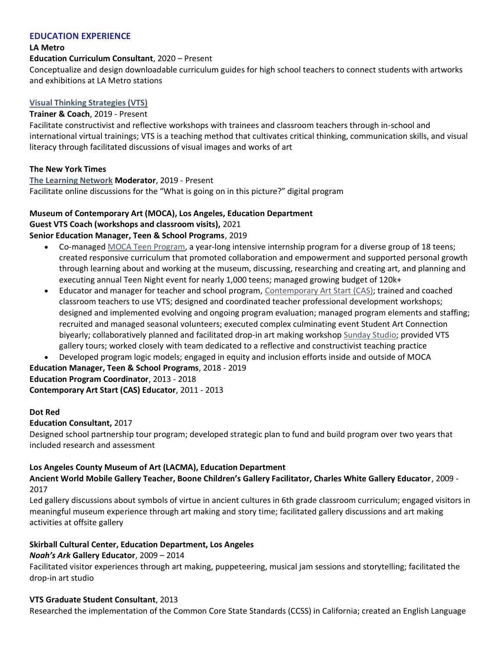## **EDUCATION EXPERIENCE**

#### **LA Metro**

#### **Education Curriculum Consultant**, 2020 – Present

Conceptualize and design downloadable curriculum guides for high school teachers to connect students with artworks and exhibitions at LA Metro stations

#### **[Visual Thinking Strategies \(VTS\)](https://vtshome.org/)**

#### **Trainer & Coach**, 2019 - Present

Facilitate constructivist and reflective workshops with trainees and classroom teachers through in-school and international virtual trainings; VTS is a teaching method that cultivates critical thinking, communication skills, and visual literacy through facilitated discussions of visual images and works of art

#### **The New York Times**

#### **[The Learning Network](https://www.nytimes.com/section/learning) Moderator**, 2019 - Present

Facilitate online discussions for the "What is going on in this picture?" digital program

## **Museum of Contemporary Art (MOCA), Los Angeles, Education Department**

**Guest VTS Coach (workshops and classroom visits),** 2021

## **Senior Education Manager, Teen & School Programs**, 2019

- Co-managed [MOCA Teen Program,](https://www.moca.org/education/teens) a year-long intensive internship program for a diverse group of 18 teens; created responsive curriculum that promoted collaboration and empowerment and supported personal growth through learning about and working at the museum, discussing, researching and creating art, and planning and executing annual Teen Night event for nearly 1,000 teens; managed growing budget of 120k+
- Educator and manager for teacher and school program, [Contemporary Art Start \(CAS\);](https://www.moca.org/education/teachers) trained and coached classroom teachers to use VTS; designed and coordinated teacher professional development workshops; designed and implemented evolving and ongoing program evaluation; managed program elements and staffing; recruited and managed seasonal volunteers; executed complex culminating event Student Art Connection biyearly; collaboratively planned and facilitated drop-in art making workshop [Sunday Studio;](https://www.moca.org/education/all-ages) provided VTS gallery tours; worked closely with team dedicated to a reflective and constructivist teaching practice

• Developed program logic models; engaged in equity and inclusion efforts inside and outside of MOCA

## **Education Manager, Teen & School Programs**, 2018 - 2019 **Education Program Coordinator**, 2013 - 2018

**Contemporary Art Start (CAS) Educator**, 2011 - 2013

#### **Dot Red**

#### **Education Consultant,** 2017

Designed school partnership tour program; developed strategic plan to fund and build program over two years that included research and assessment

#### **Los Angeles County Museum of Art (LACMA), Education Department**

**Ancient World Mobile Gallery Teacher, Boone Children's Gallery Facilitator, Charles White Gallery Educator**, 2009 - 2017

Led gallery discussions about symbols of virtue in ancient cultures in 6th grade classroom curriculum; engaged visitors in meaningful museum experience through art making and story time; facilitated gallery discussions and art making activities at offsite gallery

#### **Skirball Cultural Center, Education Department, Los Angeles**

#### *Noah's Ark* **Gallery Educator**, 2009 – 2014

Facilitated visitor experiences through art making, puppeteering, musical jam sessions and storytelling; facilitated the drop-in art studio

#### **VTS Graduate Student Consultant**, 2013

Researched the implementation of the Common Core State Standards (CCSS) in California; created an English Language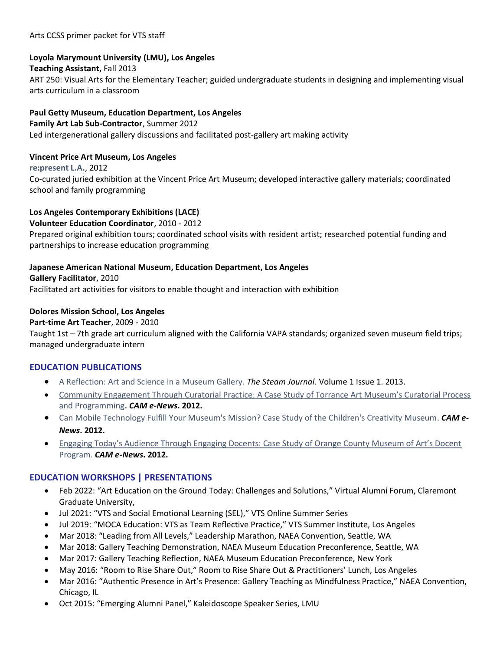#### Arts CCSS primer packet for VTS staff

## **Loyola Marymount University (LMU), Los Angeles**

#### **Teaching Assistant**, Fall 2013

ART 250: Visual Arts for the Elementary Teacher; guided undergraduate students in designing and implementing visual arts curriculum in a classroom

## **Paul Getty Museum, Education Department, Los Angeles**

#### **Family Art Lab Sub-Contractor**, Summer 2012

Led intergenerational gallery discussions and facilitated post-gallery art making activity

## **Vincent Price Art Museum, Los Angeles**

**[re:present L.A.](https://representla.wordpress.com/)**, 2012 Co-curated juried exhibition at the Vincent Price Art Museum; developed interactive gallery materials; coordinated school and family programming

## **Los Angeles Contemporary Exhibitions (LACE)**

**Volunteer Education Coordinator**, 2010 - 2012

Prepared original exhibition tours; coordinated school visits with resident artist; researched potential funding and partnerships to increase education programming

#### **Japanese American National Museum, Education Department, Los Angeles**

**Gallery Facilitator**, 2010

Facilitated art activities for visitors to enable thought and interaction with exhibition

## **Dolores Mission School, Los Angeles**

## **Part-time Art Teacher**, 2009 - 2010

Taught 1st – 7th grade art curriculum aligned with the California VAPA standards; organized seven museum field trips; managed undergraduate intern

## **EDUCATION PUBLICATIONS**

- [A Reflection: Art and Science in a Museum Gallery.](https://scholarship.claremont.edu/steam/vol1/iss1/30/) *The Steam Journal*. Volume 1 Issue 1. 2013.
- [Community Engagement Through Curatorial Practice: A Case Study of Torrance Art Museum's Curatorial Process](https://workstory.s3.amazonaws.com/assets/1000860/Flores_Session2BPresneill_original.pdf)  [and Programming](https://workstory.s3.amazonaws.com/assets/1000860/Flores_Session2BPresneill_original.pdf)**.** *CAM e-News***. 2012.**
- [Can Mobile Technology Fulfill Your Museum's Mission? Case Study of the Children's Creativity Museum.](https://workstory.s3.amazonaws.com/assets/1000861/Flores_Session7CHerndon_original.pdf) *CAM e-News***. 2012.**
- [Engaging Today's Audience Through Engaging Docents: Case Study of Orange County Museum of Art's Docent](https://workstory.s3.amazonaws.com/assets/1000862/EmnaceFlores_OCMAFINAL_original.pdf)  [Program.](https://workstory.s3.amazonaws.com/assets/1000862/EmnaceFlores_OCMAFINAL_original.pdf) *CAM e-News***. 2012.**

## **EDUCATION WORKSHOPS | PRESENTATIONS**

- Feb 2022: "Art Education on the Ground Today: Challenges and Solutions," Virtual Alumni Forum, Claremont Graduate University,
- Jul 2021: "VTS and Social Emotional Learning (SEL)," VTS Online Summer Series
- Jul 2019: "MOCA Education: VTS as Team Reflective Practice," VTS Summer Institute, Los Angeles
- Mar 2018: "Leading from All Levels," Leadership Marathon, NAEA Convention, Seattle, WA
- Mar 2018: Gallery Teaching Demonstration, NAEA Museum Education Preconference, Seattle, WA
- Mar 2017: Gallery Teaching Reflection, NAEA Museum Education Preconference, New York
- May 2016: "Room to Rise Share Out," Room to Rise Share Out & Practitioners' Lunch, Los Angeles
- Mar 2016: "Authentic Presence in Art's Presence: Gallery Teaching as Mindfulness Practice," NAEA Convention, Chicago, IL
- Oct 2015: "Emerging Alumni Panel," Kaleidoscope Speaker Series, LMU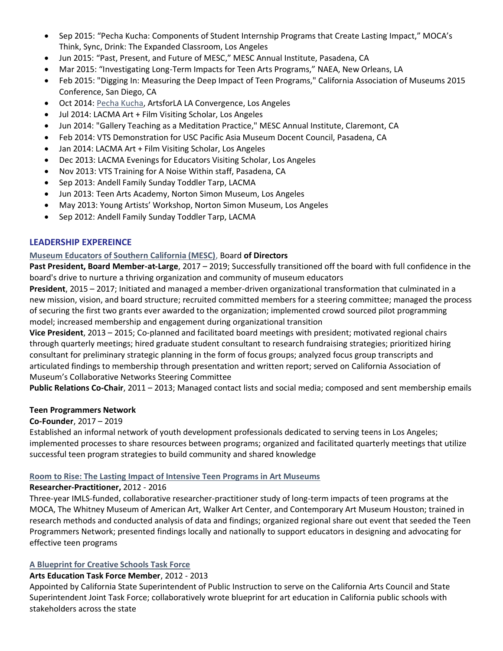- Sep 2015: "Pecha Kucha: Components of Student Internship Programs that Create Lasting Impact," MOCA's Think, Sync, Drink: The Expanded Classroom, Los Angeles
- Jun 2015: "Past, Present, and Future of MESC," MESC Annual Institute, Pasadena, CA
- Mar 2015: "Investigating Long-Term Impacts for Teen Arts Programs," NAEA, New Orleans, LA
- Feb 2015: "Digging In: Measuring the Deep Impact of Teen Programs," California Association of Museums 2015 Conference, San Diego, CA
- Oct 2014: [Pecha Kucha,](https://vimeo.com/111157909) ArtsforLA LA Convergence, Los Angeles
- Jul 2014: LACMA Art + Film Visiting Scholar, Los Angeles
- Jun 2014: "Gallery Teaching as a Meditation Practice," MESC Annual Institute, Claremont, CA
- Feb 2014: VTS Demonstration for USC Pacific Asia Museum Docent Council, Pasadena, CA
- Jan 2014: LACMA Art + Film Visiting Scholar, Los Angeles
- Dec 2013: LACMA Evenings for Educators Visiting Scholar, Los Angeles
- Nov 2013: VTS Training for A Noise Within staff, Pasadena, CA
- Sep 2013: Andell Family Sunday Toddler Tarp, LACMA
- Jun 2013: Teen Arts Academy, Norton Simon Museum, Los Angeles
- May 2013: Young Artists' Workshop, Norton Simon Museum, Los Angeles
- Sep 2012: Andell Family Sunday Toddler Tarp, LACMA

## **LEADERSHIP EXPEREINCE**

## **[Museum Educators of Southern California \(MESC\)](https://www.mesconline.org/)**, Board **of Directors**

**Past President, Board Member-at-Large**, 2017 – 2019; Successfully transitioned off the board with full confidence in the board's drive to nurture a thriving organization and community of museum educators

**President**, 2015 – 2017; Initiated and managed a member-driven organizational transformation that culminated in a new mission, vision, and board structure; recruited committed members for a steering committee; managed the process of securing the first two grants ever awarded to the organization; implemented crowd sourced pilot programming model; increased membership and engagement during organizational transition

**Vice President**, 2013 – 2015; Co-planned and facilitated board meetings with president; motivated regional chairs through quarterly meetings; hired graduate student consultant to research fundraising strategies; prioritized hiring consultant for preliminary strategic planning in the form of focus groups; analyzed focus group transcripts and articulated findings to membership through presentation and written report; served on California Association of Museum's Collaborative Networks Steering Committee

**Public Relations Co-Chair**, 2011 – 2013; Managed contact lists and social media; composed and sent membership emails

## **Teen Programmers Network**

## **Co-Founder**, 2017 – 2019

Established an informal network of youth development professionals dedicated to serving teens in Los Angeles; implemented processes to share resources between programs; organized and facilitated quarterly meetings that utilize successful teen program strategies to build community and shared knowledge

## **[Room to Rise: The Lasting Impact of Intensive Teen Programs in Art Museums](https://whitney.org/education/teens/roomtorise)**

#### **Researcher-Practitioner,** 2012 - 2016

Three-year IMLS-funded, collaborative researcher-practitioner study of long-term impacts of teen programs at the MOCA, The Whitney Museum of American Art, Walker Art Center, and Contemporary Art Museum Houston; trained in research methods and conducted analysis of data and findings; organized regional share out event that seeded the Teen Programmers Network; presented findings locally and nationally to support educators in designing and advocating for effective teen programs

## **[A Blueprint for Creative Schools Task Force](https://www.cde.ca.gov/eo/in/documents/bfcsreport.pdf)**

## **Arts Education Task Force Member**, 2012 - 2013

Appointed by California State Superintendent of Public Instruction to serve on the California Arts Council and State Superintendent Joint Task Force; collaboratively wrote blueprint for art education in California public schools with stakeholders across the state